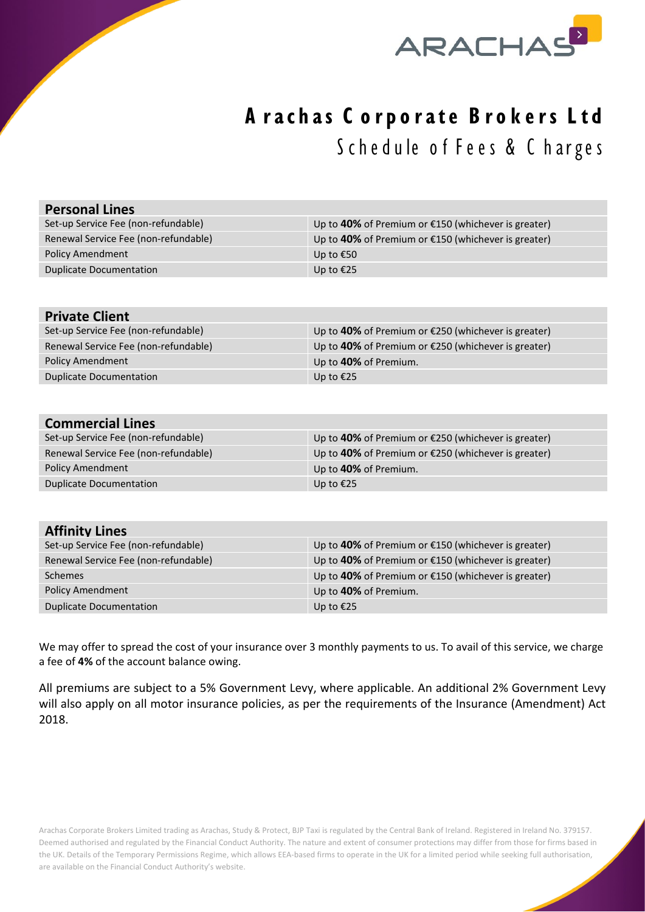

## **A rachas C orporate Brokers Ltd** Schedule of Fees & Charges

| <b>Personal Lines</b>                |                                                       |
|--------------------------------------|-------------------------------------------------------|
| Set-up Service Fee (non-refundable)  | Up to 40% of Premium or €150 (whichever is greater)   |
| Renewal Service Fee (non-refundable) | Up to 40% of Premium or €150 (whichever is greater)   |
| <b>Policy Amendment</b>              | Up to €50                                             |
| <b>Duplicate Documentation</b>       | Up to €25                                             |
|                                      |                                                       |
| <b>Private Client</b>                |                                                       |
| Set-up Service Fee (non-refundable)  | Up to 40% of Premium or €250 (whichever is greater)   |
| Renewal Service Fee (non-refundable) | Up to 40% of Premium or €250 (whichever is greater)   |
| <b>Policy Amendment</b>              | Up to 40% of Premium.                                 |
| <b>Duplicate Documentation</b>       | Up to €25                                             |
|                                      |                                                       |
|                                      |                                                       |
| <b>Commercial Lines</b>              |                                                       |
| Set-up Service Fee (non-refundable)  | Up to 40% of Premium or €250 (whichever is greater)   |
| Renewal Service Fee (non-refundable) | Up to 40% of Premium or €250 (whichever is greater)   |
| <b>Policy Amendment</b>              | Up to 40% of Premium.                                 |
| <b>Duplicate Documentation</b>       | Up to €25                                             |
|                                      |                                                       |
|                                      |                                                       |
| <b>Affinity Lines</b>                |                                                       |
| Set-up Service Fee (non-refundable)  | Up to 40% of Premium or $£150$ (whichever is greater) |
| Renewal Service Fee (non-refundable) | Up to 40% of Premium or €150 (whichever is greater)   |
| <b>Schemes</b>                       | Up to 40% of Premium or €150 (whichever is greater)   |
| <b>Policy Amendment</b>              | Up to 40% of Premium.                                 |
| <b>Duplicate Documentation</b>       | Up to €25                                             |

We may offer to spread the cost of your insurance over 3 monthly payments to us. To avail of this service, we charge a fee of **4%** of the account balance owing.

All premiums are subject to a 5% Government Levy, where applicable. An additional 2% Government Levy will also apply on all motor insurance policies, as per the requirements of the Insurance (Amendment) Act 2018.

Arachas Corporate Brokers Limited trading as Arachas, Study & Protect, BJP Taxi is regulated by the Central Bank of Ireland. Registered in Ireland No. 379157. Deemed authorised and regulated by the Financial Conduct Authority. The nature and extent of consumer protections may differ from those for firms based in the UK. Details of the Temporary Permissions Regime, which allows EEA-based firms to operate in the UK for a limited period while seeking full authorisation, are available on the Financial Conduct Authority's website.